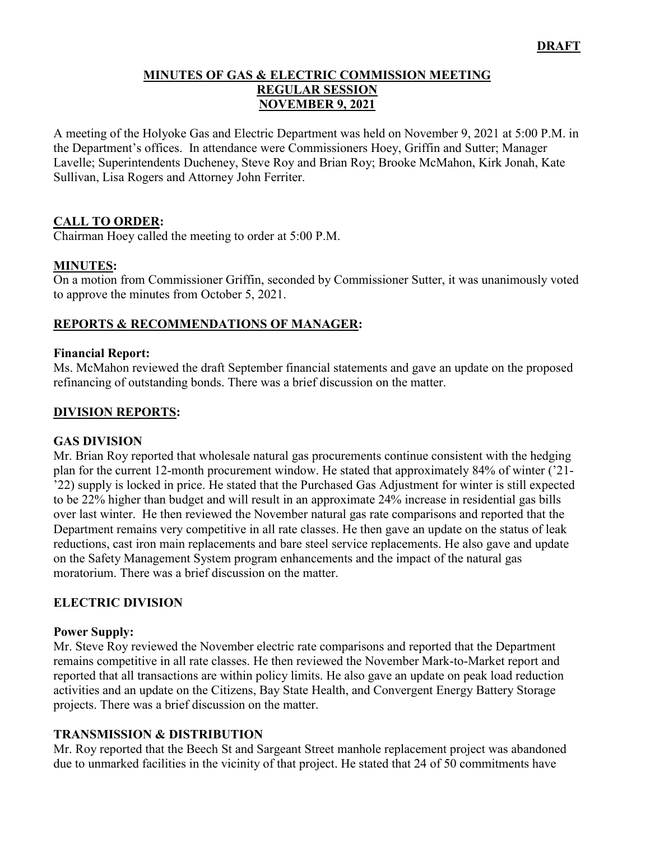#### **MINUTES OF GAS & ELECTRIC COMMISSION MEETING REGULAR SESSION NOVEMBER 9, 2021**

A meeting of the Holyoke Gas and Electric Department was held on November 9, 2021 at 5:00 P.M. in the Department's offices. In attendance were Commissioners Hoey, Griffin and Sutter; Manager Lavelle; Superintendents Ducheney, Steve Roy and Brian Roy; Brooke McMahon, Kirk Jonah, Kate Sullivan, Lisa Rogers and Attorney John Ferriter.

## **CALL TO ORDER:**

Chairman Hoey called the meeting to order at 5:00 P.M.

#### **MINUTES:**

On a motion from Commissioner Griffin, seconded by Commissioner Sutter, it was unanimously voted to approve the minutes from October 5, 2021.

## **REPORTS & RECOMMENDATIONS OF MANAGER:**

#### **Financial Report:**

Ms. McMahon reviewed the draft September financial statements and gave an update on the proposed refinancing of outstanding bonds. There was a brief discussion on the matter.

#### **DIVISION REPORTS:**

#### **GAS DIVISION**

Mr. Brian Roy reported that wholesale natural gas procurements continue consistent with the hedging plan for the current 12-month procurement window. He stated that approximately 84% of winter ('21- '22) supply is locked in price. He stated that the Purchased Gas Adjustment for winter is still expected to be 22% higher than budget and will result in an approximate 24% increase in residential gas bills over last winter. He then reviewed the November natural gas rate comparisons and reported that the Department remains very competitive in all rate classes. He then gave an update on the status of leak reductions, cast iron main replacements and bare steel service replacements. He also gave and update on the Safety Management System program enhancements and the impact of the natural gas moratorium. There was a brief discussion on the matter.

#### **ELECTRIC DIVISION**

#### **Power Supply:**

Mr. Steve Roy reviewed the November electric rate comparisons and reported that the Department remains competitive in all rate classes. He then reviewed the November Mark-to-Market report and reported that all transactions are within policy limits. He also gave an update on peak load reduction activities and an update on the Citizens, Bay State Health, and Convergent Energy Battery Storage projects. There was a brief discussion on the matter.

#### **TRANSMISSION & DISTRIBUTION**

Mr. Roy reported that the Beech St and Sargeant Street manhole replacement project was abandoned due to unmarked facilities in the vicinity of that project. He stated that 24 of 50 commitments have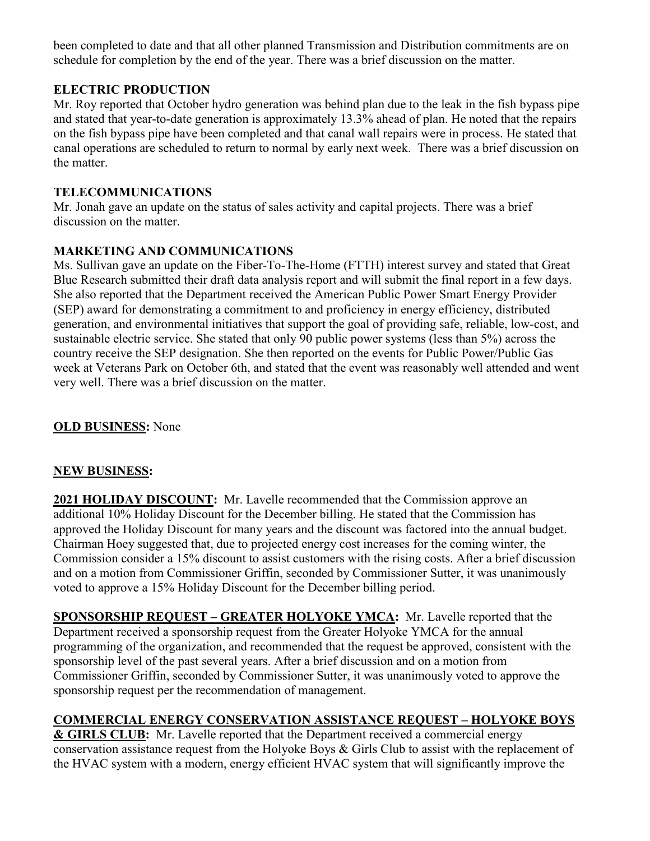been completed to date and that all other planned Transmission and Distribution commitments are on schedule for completion by the end of the year. There was a brief discussion on the matter.

## **ELECTRIC PRODUCTION**

Mr. Roy reported that October hydro generation was behind plan due to the leak in the fish bypass pipe and stated that year-to-date generation is approximately 13.3% ahead of plan. He noted that the repairs on the fish bypass pipe have been completed and that canal wall repairs were in process. He stated that canal operations are scheduled to return to normal by early next week. There was a brief discussion on the matter.

## **TELECOMMUNICATIONS**

Mr. Jonah gave an update on the status of sales activity and capital projects. There was a brief discussion on the matter.

## **MARKETING AND COMMUNICATIONS**

Ms. Sullivan gave an update on the Fiber-To-The-Home (FTTH) interest survey and stated that Great Blue Research submitted their draft data analysis report and will submit the final report in a few days. She also reported that the Department received the American Public Power Smart Energy Provider (SEP) award for demonstrating a commitment to and proficiency in energy efficiency, distributed generation, and environmental initiatives that support the goal of providing safe, reliable, low-cost, and sustainable electric service. She stated that only 90 public power systems (less than 5%) across the country receive the SEP designation. She then reported on the events for Public Power/Public Gas week at Veterans Park on October 6th, and stated that the event was reasonably well attended and went very well. There was a brief discussion on the matter.

### **OLD BUSINESS:** None

## **NEW BUSINESS:**

**2021 HOLIDAY DISCOUNT:** Mr. Lavelle recommended that the Commission approve an additional 10% Holiday Discount for the December billing. He stated that the Commission has approved the Holiday Discount for many years and the discount was factored into the annual budget. Chairman Hoey suggested that, due to projected energy cost increases for the coming winter, the Commission consider a 15% discount to assist customers with the rising costs. After a brief discussion and on a motion from Commissioner Griffin, seconded by Commissioner Sutter, it was unanimously voted to approve a 15% Holiday Discount for the December billing period.

**SPONSORSHIP REQUEST – GREATER HOLYOKE YMCA:** Mr. Lavelle reported that the Department received a sponsorship request from the Greater Holyoke YMCA for the annual programming of the organization, and recommended that the request be approved, consistent with the sponsorship level of the past several years. After a brief discussion and on a motion from Commissioner Griffin, seconded by Commissioner Sutter, it was unanimously voted to approve the sponsorship request per the recommendation of management.

# **COMMERCIAL ENERGY CONSERVATION ASSISTANCE REQUEST – HOLYOKE BOYS**

**& GIRLS CLUB:** Mr. Lavelle reported that the Department received a commercial energy conservation assistance request from the Holyoke Boys & Girls Club to assist with the replacement of the HVAC system with a modern, energy efficient HVAC system that will significantly improve the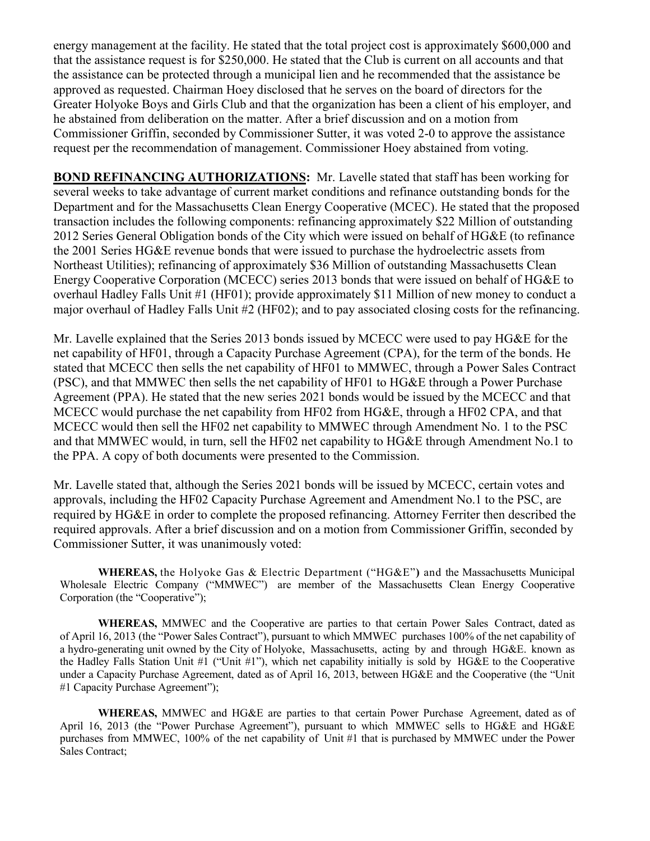energy management at the facility. He stated that the total project cost is approximately \$600,000 and that the assistance request is for \$250,000. He stated that the Club is current on all accounts and that the assistance can be protected through a municipal lien and he recommended that the assistance be approved as requested. Chairman Hoey disclosed that he serves on the board of directors for the Greater Holyoke Boys and Girls Club and that the organization has been a client of his employer, and he abstained from deliberation on the matter. After a brief discussion and on a motion from Commissioner Griffin, seconded by Commissioner Sutter, it was voted 2-0 to approve the assistance request per the recommendation of management. Commissioner Hoey abstained from voting.

**BOND REFINANCING AUTHORIZATIONS:** Mr. Lavelle stated that staff has been working for several weeks to take advantage of current market conditions and refinance outstanding bonds for the Department and for the Massachusetts Clean Energy Cooperative (MCEC). He stated that the proposed transaction includes the following components: refinancing approximately \$22 Million of outstanding 2012 Series General Obligation bonds of the City which were issued on behalf of HG&E (to refinance the 2001 Series HG&E revenue bonds that were issued to purchase the hydroelectric assets from Northeast Utilities); refinancing of approximately \$36 Million of outstanding Massachusetts Clean Energy Cooperative Corporation (MCECC) series 2013 bonds that were issued on behalf of HG&E to overhaul Hadley Falls Unit #1 (HF01); provide approximately \$11 Million of new money to conduct a major overhaul of Hadley Falls Unit #2 (HF02); and to pay associated closing costs for the refinancing.

Mr. Lavelle explained that the Series 2013 bonds issued by MCECC were used to pay HG&E for the net capability of HF01, through a Capacity Purchase Agreement (CPA), for the term of the bonds. He stated that MCECC then sells the net capability of HF01 to MMWEC, through a Power Sales Contract (PSC), and that MMWEC then sells the net capability of HF01 to HG&E through a Power Purchase Agreement (PPA). He stated that the new series 2021 bonds would be issued by the MCECC and that MCECC would purchase the net capability from HF02 from HG&E, through a HF02 CPA, and that MCECC would then sell the HF02 net capability to MMWEC through Amendment No. 1 to the PSC and that MMWEC would, in turn, sell the HF02 net capability to HG&E through Amendment No.1 to the PPA. A copy of both documents were presented to the Commission.

Mr. Lavelle stated that, although the Series 2021 bonds will be issued by MCECC, certain votes and approvals, including the HF02 Capacity Purchase Agreement and Amendment No.1 to the PSC, are required by HG&E in order to complete the proposed refinancing. Attorney Ferriter then described the required approvals. After a brief discussion and on a motion from Commissioner Griffin, seconded by Commissioner Sutter, it was unanimously voted:

**WHEREAS,** the Holyoke Gas & Electric Department ("HG&E"**)** and the Massachusetts Municipal Wholesale Electric Company ("MMWEC") are member of the Massachusetts Clean Energy Cooperative Corporation (the "Cooperative");

**WHEREAS,** MMWEC and the Cooperative are parties to that certain Power Sales Contract, dated as of April 16, 2013 (the "Power Sales Contract"), pursuant to which MMWEC purchases 100% of the net capability of a hydro-generating unit owned by the City of Holyoke, Massachusetts, acting by and through HG&E. known as the Hadley Falls Station Unit #1 ("Unit #1"), which net capability initially is sold by HG&E to the Cooperative under a Capacity Purchase Agreement, dated as of April 16, 2013, between HG&E and the Cooperative (the "Unit #1 Capacity Purchase Agreement");

**WHEREAS,** MMWEC and HG&E are parties to that certain Power Purchase Agreement, dated as of April 16, 2013 (the "Power Purchase Agreement"), pursuant to which MMWEC sells to HG&E and HG&E purchases from MMWEC, 100% of the net capability of Unit #1 that is purchased by MMWEC under the Power Sales Contract;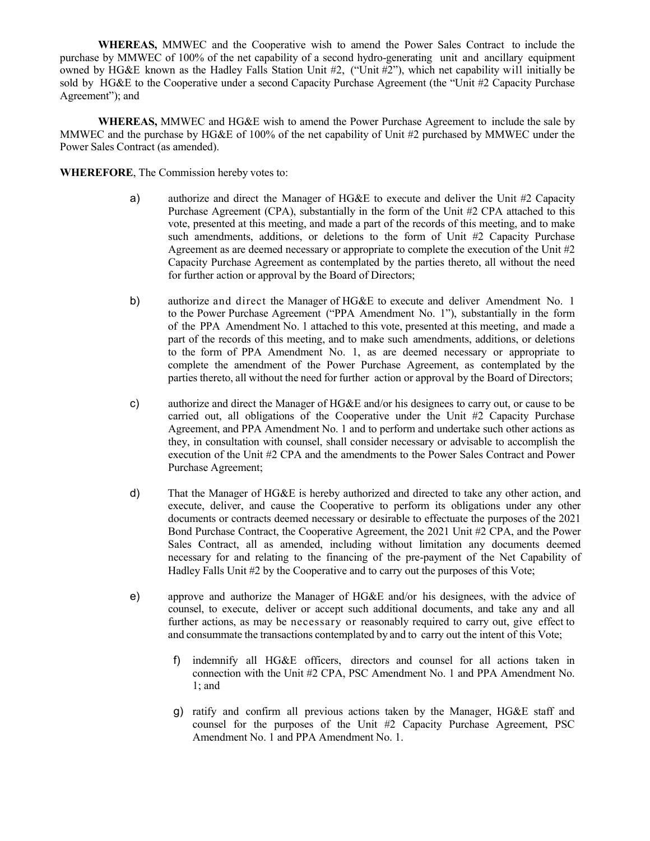**WHEREAS,** MMWEC and the Cooperative wish to amend the Power Sales Contract to include the purchase by MMWEC of 100% of the net capability of a second hydro-generating unit and ancillary equipment owned by HG&E known as the Hadley Falls Station Unit #2, ("Unit #2"), which net capability will initially be sold by HG&E to the Cooperative under a second Capacity Purchase Agreement (the "Unit #2 Capacity Purchase Agreement"); and

**WHEREAS,** MMWEC and HG&E wish to amend the Power Purchase Agreement to include the sale by MMWEC and the purchase by HG&E of 100% of the net capability of Unit #2 purchased by MMWEC under the Power Sales Contract (as amended).

**WHEREFORE**, The Commission hereby votes to:

- a) authorize and direct the Manager of HG&E to execute and deliver the Unit #2 Capacity Purchase Agreement (CPA), substantially in the form of the Unit #2 CPA attached to this vote, presented at this meeting, and made a part of the records of this meeting, and to make such amendments, additions, or deletions to the form of Unit #2 Capacity Purchase Agreement as are deemed necessary or appropriate to complete the execution of the Unit #2 Capacity Purchase Agreement as contemplated by the parties thereto, all without the need for further action or approval by the Board of Directors;
- b) authorize and direct the Manager of HG&E to execute and deliver Amendment No. 1 to the Power Purchase Agreement ("PPA Amendment No. 1"), substantially in the form of the PPA Amendment No. 1 attached to this vote, presented at this meeting, and made a part of the records of this meeting, and to make such amendments, additions, or deletions to the form of PPA Amendment No. 1, as are deemed necessary or appropriate to complete the amendment of the Power Purchase Agreement, as contemplated by the parties thereto, all without the need for further action or approval by the Board of Directors;
- c) authorize and direct the Manager of HG&E and/or his designees to carry out, or cause to be carried out, all obligations of the Cooperative under the Unit #2 Capacity Purchase Agreement, and PPA Amendment No. 1 and to perform and undertake such other actions as they, in consultation with counsel, shall consider necessary or advisable to accomplish the execution of the Unit #2 CPA and the amendments to the Power Sales Contract and Power Purchase Agreement;
- d) That the Manager of HG&E is hereby authorized and directed to take any other action, and execute, deliver, and cause the Cooperative to perform its obligations under any other documents or contracts deemed necessary or desirable to effectuate the purposes of the 2021 Bond Purchase Contract, the Cooperative Agreement, the 2021 Unit #2 CPA, and the Power Sales Contract, all as amended, including without limitation any documents deemed necessary for and relating to the financing of the pre-payment of the Net Capability of Hadley Falls Unit #2 by the Cooperative and to carry out the purposes of this Vote;
- e) approve and authorize the Manager of HG&E and/or his designees, with the advice of counsel, to execute, deliver or accept such additional documents, and take any and all further actions, as may be necessary or reasonably required to carry out, give effect to and consummate the transactions contemplated by and to carry out the intent of this Vote;
	- f) indemnify all HG&E officers, directors and counsel for all actions taken in connection with the Unit #2 CPA, PSC Amendment No. 1 and PPA Amendment No. 1; and
	- g) ratify and confirm all previous actions taken by the Manager, HG&E staff and counsel for the purposes of the Unit #2 Capacity Purchase Agreement, PSC Amendment No. 1 and PPA Amendment No. 1.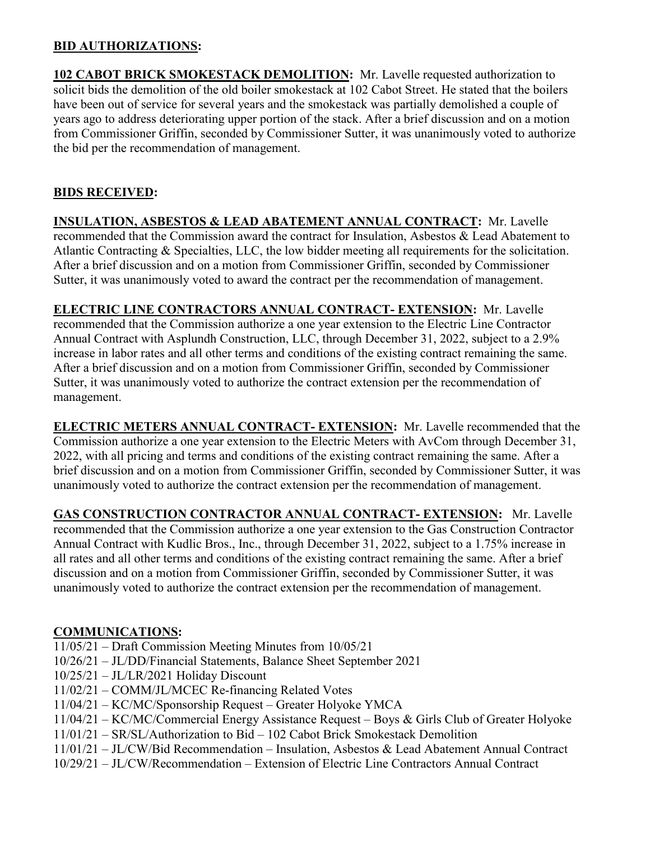## **BID AUTHORIZATIONS:**

**102 CABOT BRICK SMOKESTACK DEMOLITION:** Mr. Lavelle requested authorization to solicit bids the demolition of the old boiler smokestack at 102 Cabot Street. He stated that the boilers have been out of service for several years and the smokestack was partially demolished a couple of years ago to address deteriorating upper portion of the stack. After a brief discussion and on a motion from Commissioner Griffin, seconded by Commissioner Sutter, it was unanimously voted to authorize the bid per the recommendation of management.

## **BIDS RECEIVED:**

**INSULATION, ASBESTOS & LEAD ABATEMENT ANNUAL CONTRACT:** Mr. Lavelle recommended that the Commission award the contract for Insulation, Asbestos & Lead Abatement to Atlantic Contracting & Specialties, LLC, the low bidder meeting all requirements for the solicitation. After a brief discussion and on a motion from Commissioner Griffin, seconded by Commissioner Sutter, it was unanimously voted to award the contract per the recommendation of management.

**ELECTRIC LINE CONTRACTORS ANNUAL CONTRACT- EXTENSION:** Mr. Lavelle recommended that the Commission authorize a one year extension to the Electric Line Contractor Annual Contract with Asplundh Construction, LLC, through December 31, 2022, subject to a 2.9% increase in labor rates and all other terms and conditions of the existing contract remaining the same. After a brief discussion and on a motion from Commissioner Griffin, seconded by Commissioner Sutter, it was unanimously voted to authorize the contract extension per the recommendation of management.

**ELECTRIC METERS ANNUAL CONTRACT- EXTENSION:** Mr. Lavelle recommended that the Commission authorize a one year extension to the Electric Meters with AvCom through December 31, 2022, with all pricing and terms and conditions of the existing contract remaining the same. After a brief discussion and on a motion from Commissioner Griffin, seconded by Commissioner Sutter, it was unanimously voted to authorize the contract extension per the recommendation of management.

**GAS CONSTRUCTION CONTRACTOR ANNUAL CONTRACT- EXTENSION:** Mr. Lavelle recommended that the Commission authorize a one year extension to the Gas Construction Contractor Annual Contract with Kudlic Bros., Inc., through December 31, 2022, subject to a 1.75% increase in all rates and all other terms and conditions of the existing contract remaining the same. After a brief discussion and on a motion from Commissioner Griffin, seconded by Commissioner Sutter, it was unanimously voted to authorize the contract extension per the recommendation of management.

## **COMMUNICATIONS:**

- 11/05/21 Draft Commission Meeting Minutes from 10/05/21
- 10/26/21 JL/DD/Financial Statements, Balance Sheet September 2021
- 10/25/21 JL/LR/2021 Holiday Discount
- 11/02/21 COMM/JL/MCEC Re-financing Related Votes
- 11/04/21 KC/MC/Sponsorship Request Greater Holyoke YMCA
- 11/04/21 KC/MC/Commercial Energy Assistance Request Boys & Girls Club of Greater Holyoke
- 11/01/21 SR/SL/Authorization to Bid 102 Cabot Brick Smokestack Demolition
- 11/01/21 JL/CW/Bid Recommendation Insulation, Asbestos & Lead Abatement Annual Contract
- 10/29/21 JL/CW/Recommendation Extension of Electric Line Contractors Annual Contract